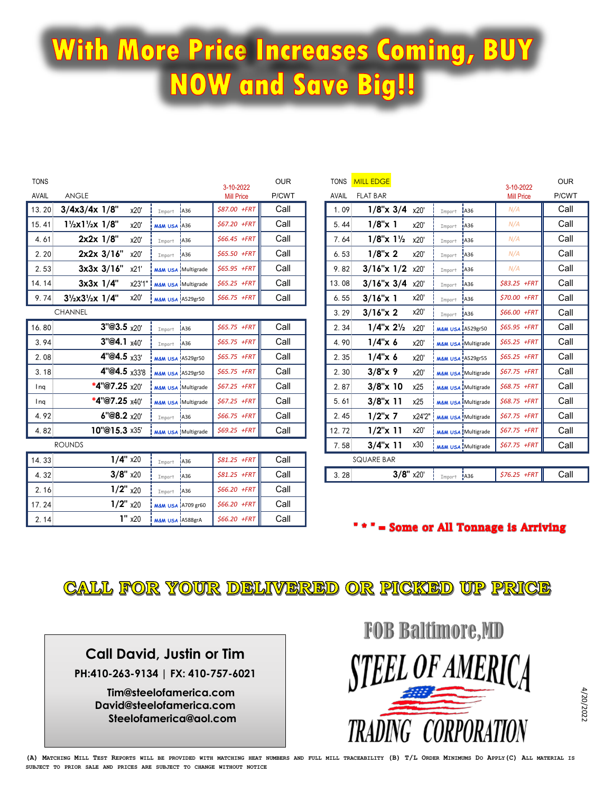## With More Price Increases Coming, BUY **NOW and Save Big!!**

| <b>TONS</b><br>AVAIL | <b>ANGLE</b>                                     |                               |                               | 3-10-2022<br><b>Mill Price</b> | <b>OUR</b><br>P/CWT | <b>TONS</b><br><b>AVAIL</b> | <b>MILL EDGE</b><br><b>FLAT BAR</b>     |             |                               |                               | 3-10-2022<br><b>Mill Price</b> | <b>OUR</b><br>P/CWT |
|----------------------|--------------------------------------------------|-------------------------------|-------------------------------|--------------------------------|---------------------|-----------------------------|-----------------------------------------|-------------|-------------------------------|-------------------------------|--------------------------------|---------------------|
| 13.20                | $3/4x3/4x$ 1/8"<br>x20'                          | Import                        | A36                           | \$87.00 +FRT                   | Call                | 1.09                        | $1/8$ "x $3/4$                          | x20'        | Import                        | A36                           | N/A                            | Call                |
| 15.41                | $1\frac{1}{2}x1\frac{1}{2}x1\frac{1}{8}$<br>x20' | M&M USA A36                   |                               | \$67.20 +FRT                   | Call                | 5.44                        | $1/8$ "x 1                              | x20'        | Import                        | A36                           | N/A                            | Call                |
| 4.61                 | $2x2x$ $1/8$ "<br>x20'                           | Import                        | <b>JA36</b>                   | $$66.45$ +FRT                  | Call                | 7.64                        | $1/8$ "x $1\frac{1}{2}$                 | x20'        | Import                        | <b>A36</b>                    | N/A                            | Call                |
| 2.20                 | $2x2x$ 3/16"<br>x20'                             | Import                        | <b>A36</b>                    | \$65.50 +FRT                   | Call                | 6.53                        | $1/8$ "x 2                              | x20'        | Import                        | <b>A36</b>                    | N/A                            | Call                |
| 2.53                 | 3x3x 3/16"<br>x21'                               |                               | <b>M&amp;M USA</b> Multigrade | \$65.95 +FRT                   | Call                | 9.82                        | $3/16$ "x $1/2$                         | x20'        | Import                        | A36                           | N/A                            | Call                |
| 14.14                | $3x3x$ $1/4$ "<br>x23'1'                         | <b>M&amp;M USA Multigrade</b> |                               | $$65.25$ +FRT                  | Call                | 13.08                       | $3/16$ "x $3/4$                         | x20'        | Import                        | <b>A36</b>                    | \$83.25 +FRT                   | Call                |
| 9.74                 | x20'<br>$3\frac{1}{2}x3\frac{1}{2}x$ 1/4"        | <b>M&amp;M USA A529gr50</b>   |                               | \$66.75 +FRT                   | Call                | 6.55                        | $3/16''x$ 1                             | x20'        | Import                        | <b>A36</b>                    | \$70.00 +FRT                   | Call                |
|                      | <b>CHANNEL</b>                                   |                               |                               |                                |                     | 3.29                        | $3/16$ "x 2                             | x20'        | Import                        | A36                           | \$66.00 +FRT                   | Call                |
| 16.80                | 3''@3.5x20'                                      | Import                        | A36                           | \$65.75 +FRT                   | Call                | 2.34                        | $1/4$ "x $2\frac{1}{2}$ x20"            |             | <b>M&amp;M USA A529gr50</b>   |                               | \$65.95 +FRT                   | Call                |
| 3.94                 | 3''@4.1 x40'                                     | Import                        | <b>A36</b>                    | \$65.75 +FRT                   | Call                | 4.90                        | $1/4$ " $\times$ 6                      | x20'        |                               | <b>M&amp;M USA Multigrade</b> | \$65.25 +FRT                   | Call                |
| 2.08                 | 4"@4.5 x33"                                      |                               | <b>M&amp;M USA A529gr50</b>   | $$65.75$ +FRT                  | Call                | 2.35                        | $1/4$ " $\times$ 6                      | x20'        | <b>M&amp;M USA A529gr55</b>   |                               | $$65.25$ +FRT                  | Call                |
| 3.18                 | 4"@4.5 x33'8                                     | <b>M&amp;M USA A529gr50</b>   |                               | \$65.75 +FRT                   | Call                | 2.30                        | $3/8''$ x 9                             | x20'        |                               | <b>M&amp;M USA Multigrade</b> | \$67.75 +FRT                   | Call                |
| Ing                  | *4"@7.25 x20"                                    |                               | <b>M&amp;M USA Multigrade</b> | $$67.25$ +FRT                  | Call                | 2.87                        | $3/8$ " $\times$ 10                     | x25         |                               | <b>M&amp;M USA Multigrade</b> | \$68.75 +FRT                   | Call                |
| Ina                  | *4"@7.25 $x40'$                                  |                               | <b>M&amp;M USA Multigrade</b> | $$67.25$ +FRT                  | Call                | 5.61                        | $3/8$ " $\times$ 11                     | x25         |                               | <b>M&amp;M USA Multigrade</b> | \$68.75 +FRT                   | Call                |
| 4.92                 | 6"@8.2 x20"                                      | Import                        | <b>A36</b>                    | \$66.75 +FRT                   | Call                | 2.45                        | $1/2$ "x 7                              | x24'2"      | <b>M&amp;M USA Multigrade</b> |                               | \$67.75 +FRT                   | Call                |
| 4.82                 | 10"@15.3 x35"                                    |                               | <b>M&amp;M USA</b> Multigrade | $$69.25$ +FRT                  | Call                | 12.72                       | $1/2$ "x 11                             | x20'        |                               | <b>M&amp;M USA Multigrade</b> | \$67.75 +FRT                   | Call                |
|                      | <b>ROUNDS</b>                                    |                               |                               |                                |                     | 7.58                        | $3/4$ " $\times$ 11                     | x30         |                               | M&M USA Multigrade            | \$67.75 +FRT                   | Call                |
| 14.33                | $1/4"$ x20                                       | Import                        | <b>A36</b>                    | \$81.25 +FRT                   | Call                |                             | <b>SQUARE BAR</b>                       |             |                               |                               |                                |                     |
| 4.32                 | $3/8"$ x20                                       | Import                        | <b>A36</b>                    | \$81.25 +FRT                   | Call                | 3.28                        |                                         | $3/8"$ x20' | Import A36                    |                               | $$76.25$ +FRT                  | Call                |
| 2.16                 | $1/2$ " x20                                      | Import                        | <b>A36</b>                    | \$66.20 +FRT                   | Call                |                             |                                         |             |                               |                               |                                |                     |
| 17.24                | $1/2$ " x20                                      |                               | <b>M&amp;M USA A709 gr60</b>  | $$66.20$ +FRT                  | Call                |                             |                                         |             |                               |                               |                                |                     |
| 2.14                 | $1"$ x20                                         | M&M USA IA588grA              |                               | $$66.20$ +FRT                  | Call                |                             | " * " = Some or All Tonnage is Arriving |             |                               |                               |                                |                     |

CALL FOR YOUR DELIVERED OR PICKED UP PRICE

**Call David, Justin or Tim**

**PH:410-263-9134 | FX: 410-757-6021**

**Tim@steelofamerica.com David@steelofamerica.com Steelofamerica@aol.com** **FOB Baltimore, MD** EL OF AMERICA